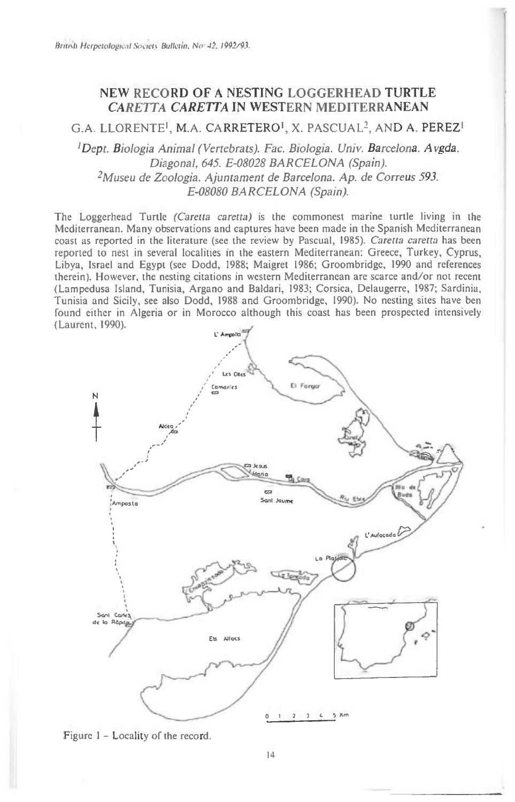## **NEW RECORD OF A NESTING LOGGERHEAD TURTLE**  *CARETTA CARETTA* **IN WESTERN MEDITERRANEAN**

G.A. LLORENTEI, M.A. CARRETEROI, X. PASCUAL2, AND A. PEREZ'

*!Dept. Biologia Animal (Vertebrats). Fac. Biologia. Univ. Barcelona. Avgda. Diagonal, 645. E-08028 BARCELONA (Spain). 2Museu de Zoologia. Ajuntament de Barcelona. Ap. de Correus 593. E-08080 BARCELONA (Spain).* 

The Loggerhead Turtle *(Caretta caretta)* is the commonest marine turtle living in the Mediterranean. Many observations and captures have been made in the Spanish Mediterranean coast as reported in the literature (see the review by Pascual, 1985). *Caretta caretta* has been reported to nest in several localities in the eastern Mediterranean: Greece, Turkey, Cyprus, Libya, Israel and Egypt (see Dodd, 1988; Maigret 1986; Groombridge, 1990 and references therein). However, the nesting citations in western Mediterranean are scarce and/or not recent (Lampedusa Island, Tunisia, Argano and Baldari, 1983; Corsica, Delaugerre, 1987; Sardinia, Tunisia and Sicily, see also Dodd, 1988 and Groombridge, 1990). No nesting sites have ben found either in Algeria or in Morocco although this coast has been prospected intensively (Laurent, 1990).



Figure 1 — Locality of the record.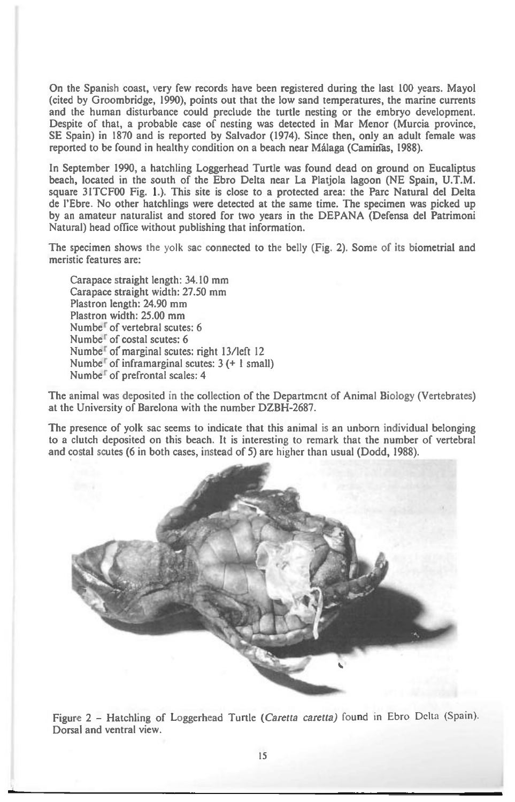On the Spanish coast, very few records have been registered during the last 100 years. Mayol (cited by Groombridge, 1990), points out that the low sand temperatures, the marine currents and the human disturbance could preclude the turtle nesting or the embryo development. Despite of that, a probable case of nesting was detected in Mar Menor (Murcia province, SE Spain) in 1870 and is reported by Salvador (1974). Since then, only an adult female was reported to be found in healthy condition on a beach near Málaga (Caminas, 1988).

In September 1990, a hatchling Loggerhead Turtle was found dead on ground on Eucaliptus beach, located in the south of the Ebro Delta near La Platjola lagoon (NE Spain, U.T.M. square 31TCF00 Fig. 1.). This site is close to a protected area: the Parc Natural del Delta de l'Ebre. No other hatchlings were detected at the same time. The specimen was picked up by an amateur naturalist and stored for two years in the DEPANA (Defensa del Patrimoni Natural) head office without publishing that information.

The specimen shows the yolk sac connected to the belly (Fig. 2). Some of its biometrial and meristic features are:

Carapace straight length: 34.10 mm Carapace straight width: 27.50 mm Plastron length: 24.90 mm Plastron width: 25.00 mm Numbe<sup>r</sup> of vertebral scutes: 6 Numbe<sup>r</sup> of costal scutes: 6 Numbe<sup>r</sup> of marginal scutes: right 13/left 12 Number of inframarginal scutes:  $3 (+ 1)$  small) Numbe' of prefrontal scales: 4

The animal was deposited in the collection of the Department of Animal Biology (Vertebrates) at the University of Barelona with the number DZBH-2687.

The presence of yolk sac seems to indicate that this animal is an unborn individual belonging to a clutch deposited on this beach. It is interesting to remark that the number of vertebral and costal scutes (6 in both cases, instead of 5) are higher than usual (Dodd, 1988).



Figure 2 — Hatchling of Loggerhead Turtle *(Caretta caretta)* found in Ebro Delta (Spain). Dorsal and ventral view.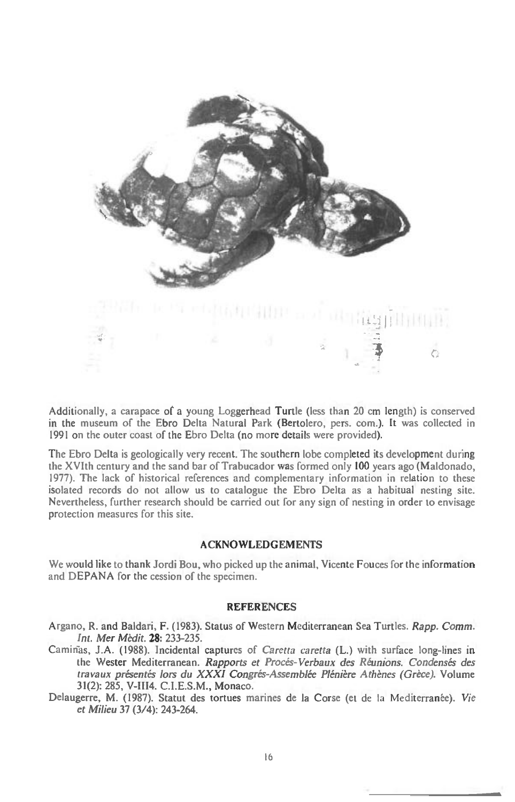

Additionally, a carapace of a young Loggerhead Turtle (less than 20 cm length) is conserved in the museum of the Ebro Delta Natural Park (Bertolero, pers. corn.). It was collected in 1991 on the outer coast of the Ebro Delta (no more details were provided).

The Ebro Delta is geologically very recent. The southern lobe completed its development during the XVIth century and the sand bar of Trabucador was formed only 100 years ago (Maldonado, 1977). The lack of historical references and complementary information in relation to these isolated records do not allow us to catalogue the Ebro Delta as a habitual nesting site. Nevertheless, further research should be carried out for any sign of nesting in order to envisage protection measures for this site.

## **ACKNOWLEDGEMENTS**

We would like to thank Jordi Bou, who picked up the animal, Vicente Fouces for the information and DEPANA for the cession of the specimen.

## **REFERENCES**

Argano, R. and Baldari, F. (1983). Status of Western Mediterranean Sea Turtles. *Rapp. Comm. Int. Mer Medit.* **28:** 233-235.

- J.A. (1988). Incidental captures of *Caretta caretta* **(L.)** with surface long-lines in the Wester Mediterranean. *Rapports et Procés-Verbaux des Réunions*. Condensés des *travaux present& lors du XXXI Congres-Assemblee Pleniere Athenes (Grece).* Volume 31(2): 285, V-III4. C.I.E.S.M., Monaco.
- Delaugerre, M. (1987). Statut des tortues marines de la Corse (et de la Mediterranee). *Vie et* Milieu 37 (3/4): 243-264.